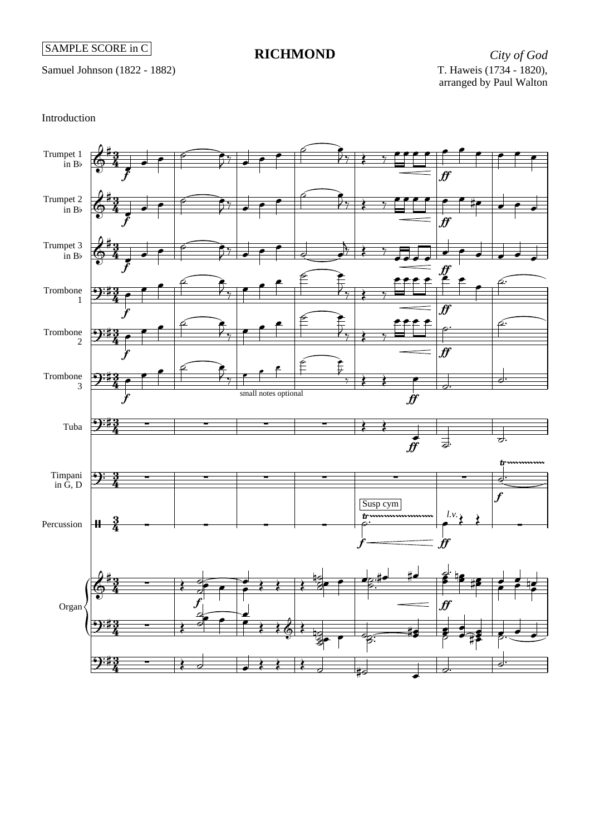Samuel Johnson (1822 - 1882) T. Haweis (1734 - 1820),

## **RICHMOND**

*City of God* arranged by Paul Walton

Introduction

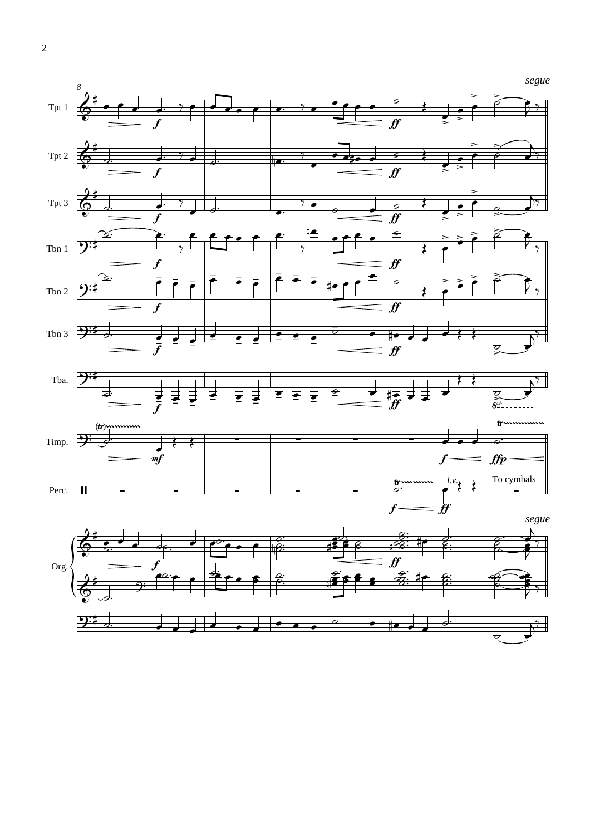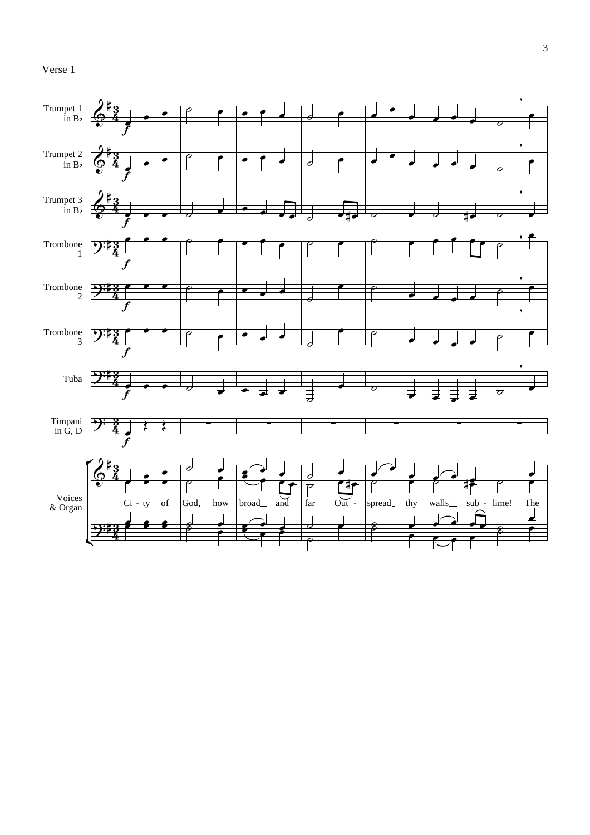## Verse 1

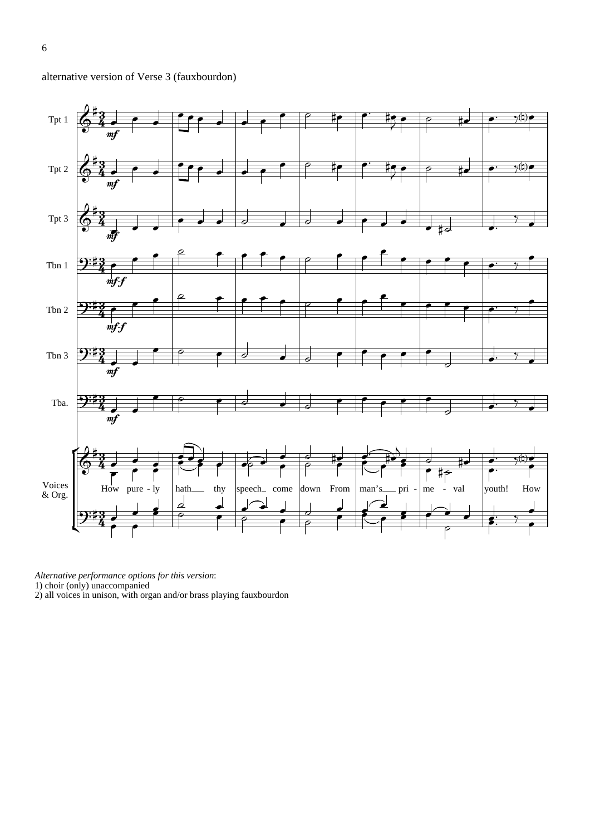## alternative version of Verse 3 (fauxbourdon)



*Alternative performance options for this version*:

1) choir (only) unaccompanied

2) all voices in unison, with organ and/or brass playing fauxbourdon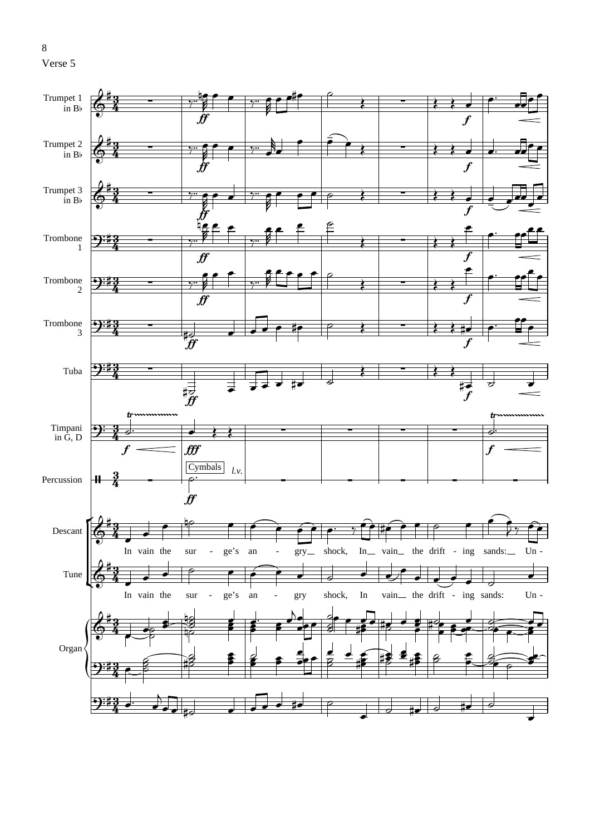



8